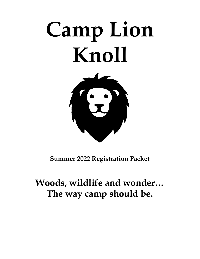# **Camp Lion Knoll**



**Summer 2022 Registration Packet**

# **Woods, wildlife and wonder… The way camp should be.**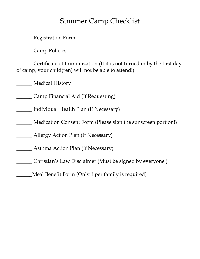## Summer Camp Checklist

**Example 3** Registration Form

\_\_\_\_\_\_ Camp Policies

\_\_\_\_\_\_ Certificate of Immunization (If it is not turned in by the first day of camp, your child(ren) will not be able to attend!)

\_\_\_\_\_\_ Medical History

\_\_\_\_\_\_ Camp Financial Aid (If Requesting)

\_\_\_\_\_\_ Individual Health Plan (If Necessary)

\_\_\_\_\_\_ Medication Consent Form (Please sign the sunscreen portion!)

\_\_\_\_\_\_ Allergy Action Plan (If Necessary)

\_\_\_\_\_\_ Asthma Action Plan (If Necessary)

\_\_\_\_\_\_ Christian's Law Disclaimer (Must be signed by everyone!)

\_\_\_\_\_\_Meal Benefit Form (Only 1 per family is required)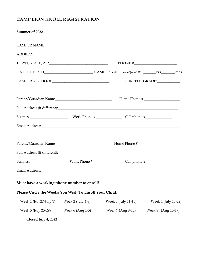## **CAMP LION KNOLL REGISTRATION**

| Summer of 2022                                         |                   |                     |                     |
|--------------------------------------------------------|-------------------|---------------------|---------------------|
|                                                        |                   | CAMPER NAME         |                     |
|                                                        |                   |                     |                     |
|                                                        |                   |                     | PHONE $\#$          |
|                                                        |                   |                     |                     |
| CAMPER'S SCHOOL<br><u> </u>                            |                   |                     | CURRENT GRADE:      |
|                                                        |                   |                     | Home Phone #        |
|                                                        |                   |                     |                     |
|                                                        |                   |                     |                     |
|                                                        |                   |                     |                     |
|                                                        |                   |                     |                     |
|                                                        |                   |                     |                     |
|                                                        |                   |                     |                     |
|                                                        |                   |                     |                     |
| Must have a working phone number to enroll!            |                   |                     |                     |
| Please Circle the Weeks You Wish To Enroll Your Child: |                   |                     |                     |
| Week 1 (Jun 27-July 1)                                 | Week 2 (July 4-8) | Week 3 (July 11-15) | Week 4 (July 18-22) |
| Week 5 (July 25-29)                                    | Week 6 (Aug 1-5)  | Week 7 (Aug 8-12)   | Week 8 (Aug 15-19)  |
| Closed July 4, 2022                                    |                   |                     |                     |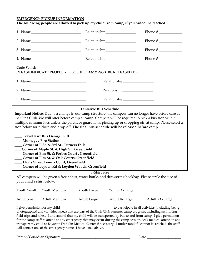#### **EMERGENCY PICKUP INFORMATION -**

#### **The following people are allowed to pick up my child from camp, if you cannot be reached.**

| 2. Name                                                                                                                                                                                                                                                                                                                                                                                                                                                                                                                                                                                                                                                                                                                                                                                                       |                                |                                           |  |  |  |
|---------------------------------------------------------------------------------------------------------------------------------------------------------------------------------------------------------------------------------------------------------------------------------------------------------------------------------------------------------------------------------------------------------------------------------------------------------------------------------------------------------------------------------------------------------------------------------------------------------------------------------------------------------------------------------------------------------------------------------------------------------------------------------------------------------------|--------------------------------|-------------------------------------------|--|--|--|
|                                                                                                                                                                                                                                                                                                                                                                                                                                                                                                                                                                                                                                                                                                                                                                                                               |                                |                                           |  |  |  |
|                                                                                                                                                                                                                                                                                                                                                                                                                                                                                                                                                                                                                                                                                                                                                                                                               |                                | Phone # $\frac{1}{\sqrt{1-\frac{1}{2}}}\$ |  |  |  |
| PLEASE INDICATE PEOPLE YOUR CHILD MAY NOT BE RELEASED TO:                                                                                                                                                                                                                                                                                                                                                                                                                                                                                                                                                                                                                                                                                                                                                     |                                |                                           |  |  |  |
|                                                                                                                                                                                                                                                                                                                                                                                                                                                                                                                                                                                                                                                                                                                                                                                                               |                                |                                           |  |  |  |
| 2. Name                                                                                                                                                                                                                                                                                                                                                                                                                                                                                                                                                                                                                                                                                                                                                                                                       | Relationship__________________ |                                           |  |  |  |
|                                                                                                                                                                                                                                                                                                                                                                                                                                                                                                                                                                                                                                                                                                                                                                                                               | Relationship________________   |                                           |  |  |  |
| Important Notice: Due to a change in our camp structure, the campers can no longer have before care at<br>the Girls Club. We will offer before camp at camp. Campers will be required to pick a bus stop within<br>multiple communities unless the parent or guardian is picking up or dropping off at camp. Please select a<br>stop below for pickup and drop-off. The final bus schedule will be released before camp.<br>___ Travel Kuz Bus Garage, Gill<br>___ Montague Fire Station<br>Corner of L St. & 3rd St., Turners Falls<br>$\overline{\phantom{a}}$<br>__Corner of Maple St. & High St., Greenfield<br>Corner of Elm St. & Forbes Court, Greenfield<br>Corner of Elm St. & Oak Courts, Greenfield<br>Davis Street Tennis Court, Greenfield<br>___ Corner of Leyden Rd & Leyden Woods, Greenfield |                                |                                           |  |  |  |
|                                                                                                                                                                                                                                                                                                                                                                                                                                                                                                                                                                                                                                                                                                                                                                                                               | <b>T-Shirt Size</b>            |                                           |  |  |  |
| All campers will be given a free t-shirt, water bottle, and drawstring bookbag. Please circle the size of<br>your child's shirt below.                                                                                                                                                                                                                                                                                                                                                                                                                                                                                                                                                                                                                                                                        |                                |                                           |  |  |  |
| Youth Small Youth Medium                                                                                                                                                                                                                                                                                                                                                                                                                                                                                                                                                                                                                                                                                                                                                                                      | Youth Large Youth X-Large      |                                           |  |  |  |

I give permission for my child \_\_\_\_\_\_\_\_\_\_\_\_\_\_\_\_\_\_\_\_\_\_\_\_\_\_\_\_\_\_\_\_ to participate in all activities (including being photographed and/or videotaped) that are part of the Girls Club summer camp program, including swimming, field trips and hikes. I understand that my child will be transported by bus to and from camp. I give permission for the camp staff to attend to any emergency that may occur during the camp session, seek medical attention and transport my child to Baystate Franklin Medical Center if necessary. I understand if I cannot be reached, the staff will contact one of the emergency names I have listed above.

Adult Small Adult Medium Adult Large Adult X-Large Adult XX-Large

Parent/Guardian Signature \_\_\_\_\_\_\_\_\_\_\_\_\_\_\_\_\_\_\_\_\_\_\_\_\_\_\_\_\_\_\_\_\_\_\_\_\_\_ Date \_\_\_\_\_\_\_\_\_\_\_\_\_\_\_\_\_\_\_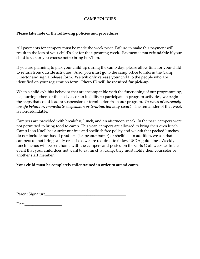#### **CAMP POLICIES**

#### **Please take note of the following policies and procedures.**

All payments for campers must be made the week prior. Failure to make this payment will result in the loss of your child's slot for the upcoming week. Payment is **not refundable** if your child is sick or you choose not to bring her/him.

If you are planning to pick your child up during the camp day, please allow time for your child to return from outside activities. Also, you **must** go to the camp office to inform the Camp Director and sign a release form. We will only **release** your child to the people who are identified on your registration form. **Photo ID will be required for pick-up.** 

When a child exhibits behavior that are incompatible with the functioning of our programming, i.e., hurting others or themselves, or an inability to participate in program activities, we begin the steps that could lead to suspension or termination from our program. *In cases of extremely unsafe behavior, immediate suspension or termination may result.* The remainder of that week is non-refundable.

Campers are provided with breakfast, lunch, and an afternoon snack. In the past, campers were not permitted to bring food to camp. This year, campers are allowed to bring their own lunch. Camp Lion Knoll has a strict nut free and shellfish free policy and we ask that packed lunches do not include nut-based products (i.e. peanut butter) or shellfish. In addition, we ask that campers do not bring candy or soda as we are required to follow USDA guidelines. Weekly lunch menus will be sent home with the campers and posted on the Girls Club website. In the event that your child does not want to eat lunch at camp, they must notify their counselor or another staff member.

#### **Your child must be completely toilet trained in order to attend camp.**

| Parent Signature |  |
|------------------|--|
|                  |  |

| Date |  |  |  |
|------|--|--|--|
|      |  |  |  |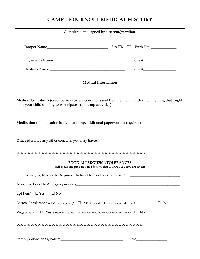### **CAMP LION KNOLL MEDICAL HISTORY**

| Completed and signed by a <b>parent/guardian</b> .                                                             |                                        |  |  |  |  |
|----------------------------------------------------------------------------------------------------------------|----------------------------------------|--|--|--|--|
| Camper Name                                                                                                    | $Sex \Box M \Box F \quad Birth \ Date$ |  |  |  |  |
| Physician's Name                                                                                               |                                        |  |  |  |  |
| Dentist's Name: 2008 and 2008 and 2008 and 2008 and 2008 and 2008 and 2008 and 2008 and 2008 and 2008 and 2008 |                                        |  |  |  |  |
| <b>Medical Information</b>                                                                                     |                                        |  |  |  |  |
| <b>Medical Conditions</b> (describe any current conditions and treatment plan, including anything that might   |                                        |  |  |  |  |

**Medication** (if medication is given at camp, additional paperwork is required)

**Other** (describe any other concerns you may have):

limit your child's ability to participate in all camp activities):

\*\*\*\*\*\*\*\*\*\*\*\*\*\*\*\*\*\*\*\*\*\*\*\*\*\*\*\*\*\*\*\*\*\*\*\*\*\*\*\*\*\*\*\*\*\*\*\*\*\*\*\*\*\*\*\*\*\*\*\*\*\*\*\*\*\*\*\*\*\*\*\*\*\*\*\*\*\*\*\*\*\*\*\*\*\*\*\*\*\*\*\*

#### **FOOD ALLERGIES/INTOLERANCES (All meals are prepared in a facility that is NOT ALLERGEN FREE)**

| Food Allergies/Medically Required Dietary Needs (doctor's note required): _____________                    |    |
|------------------------------------------------------------------------------------------------------------|----|
| Allergies/Possible Allergies (be specific)                                                                 |    |
| Epi-Pen? $\square$ Yes<br>$\Box$ No                                                                        |    |
| Lactose Intolerant (doctor's note required): $\square$ Yes (Lactaid will be served as an alternate)        | No |
| Vegetarian: $\square$ Yes (Alternative protein will be cheese/beans or nut butter/nuts/seeds) $\square$ No |    |
|                                                                                                            |    |
| Date_                                                                                                      |    |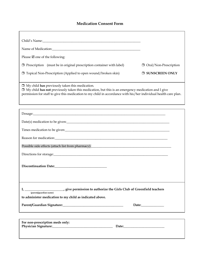#### **Medication Consent Form**

| Please $\boxtimes$ one of the following:                                                                                                                                                                                                                                                     |                         |
|----------------------------------------------------------------------------------------------------------------------------------------------------------------------------------------------------------------------------------------------------------------------------------------------|-------------------------|
| $\Box$ Prescription (must be in original prescription container with label)                                                                                                                                                                                                                  | □ Oral/Non-Prescription |
| $\Box$ Topical Non-Prescription (Applied to open wound/broken skin)                                                                                                                                                                                                                          | <b>I SUNSCREEN ONLY</b> |
| $\Box$ My child <b>has</b> previously taken this medication.<br>$\Box$ My child has not previously taken this medication, but this is an emergency medication and I give<br>permission for staff to give this medication to my child in accordance with his/her individual health care plan. |                         |
|                                                                                                                                                                                                                                                                                              |                         |
| Date(s) medication to be given:                                                                                                                                                                                                                                                              |                         |
|                                                                                                                                                                                                                                                                                              |                         |
|                                                                                                                                                                                                                                                                                              |                         |
| Possible side effects (attach list from pharmacy):<br>The matter of the side of the state of the state of the state of the state of the state of the state of the state of the state of the state of the state of the state of t                                                             |                         |
|                                                                                                                                                                                                                                                                                              |                         |
|                                                                                                                                                                                                                                                                                              |                         |
| (parent/guardian name)<br>to administer medication to my child as indicated above.                                                                                                                                                                                                           |                         |
|                                                                                                                                                                                                                                                                                              |                         |
| For non-prescription meds only:                                                                                                                                                                                                                                                              |                         |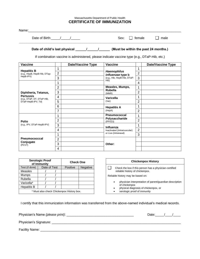#### Massachusetts Department of Public Health **CERTIFICATE OF IMMUNIZATION**

| Name:                                              |   |                          |                                                                                                                                          |        |                          |
|----------------------------------------------------|---|--------------------------|------------------------------------------------------------------------------------------------------------------------------------------|--------|--------------------------|
| Date of Birth: / /                                 |   |                          | Sex:                                                                                                                                     | female | male                     |
|                                                    |   |                          | If combination vaccine is administered, please indicate vaccine type (e.g., DTaP-Hib, etc.)                                              |        |                          |
| <b>Vaccine</b>                                     |   | <b>Date/Vaccine Type</b> | Vaccine                                                                                                                                  |        | <b>Date/Vaccine Type</b> |
|                                                    |   |                          |                                                                                                                                          |        |                          |
| <b>Hepatitis B</b><br>(e.g., HepB, HepB-Hib, DTap- | 2 |                          | <b>Haemophilus</b><br><i>influenzae</i> type b                                                                                           | 2      |                          |
| HepB-IPV)                                          | 3 |                          | (e.g., Hib, HepB-Hib, DTaP-                                                                                                              | 3      |                          |
|                                                    |   |                          | Hib)                                                                                                                                     | 4      |                          |
|                                                    | 2 |                          | Measles, Mumps,<br><b>Duck all all and the second contract of the State Contract of the State Contract of the State Contract of the </b> | 4      |                          |

|                                                |                |                             | 4              |  |
|------------------------------------------------|----------------|-----------------------------|----------------|--|
| Diphtheria, Tetanus,                           | $\overline{2}$ | Measles, Mumps,             | 4              |  |
|                                                | 3              | <b>Rubella</b><br>(MMR)     | $\overline{2}$ |  |
| <b>Pertussis</b><br>(e.g., DTaP, DT, DTaP-Hib, | 4              | <b>Varicella</b>            | и              |  |
| DTaP-HepB-IPV, Td)                             | 5              | (Var)                       | $\overline{2}$ |  |
|                                                | 6              | <b>Hepatitis A</b>          | и              |  |
|                                                | 7              | (HepA)                      | 2              |  |
| <b>Polio</b><br>(e.g., IPV, DTaP-HepB-IPV)     | 4              | <b>Pneumococcal</b>         | 4              |  |
|                                                | $\overline{2}$ | Polysaccharide<br>(PPV23)   | $\overline{2}$ |  |
|                                                | 3              | Influenza                   |                |  |
|                                                | 4              | Inactivated (Intramuscular) | 2              |  |
| <b>Pneumococccal</b><br>Conjugate<br>(PCV7)    | 4              | or Live (Intranasal)        | 3              |  |
|                                                | $\overline{2}$ |                             |                |  |
|                                                | 3              | Other:                      |                |  |
|                                                | 4              |                             |                |  |

| <b>Serologic Proof</b><br>of Immunity     |              | <b>Check One</b> |          |                 |
|-------------------------------------------|--------------|------------------|----------|-----------------|
| Test (if done)                            | Date of Test |                  | Positive | <b>Negative</b> |
| <b>Measles</b>                            |              |                  |          |                 |
| <b>Mumps</b>                              |              |                  |          |                 |
| Rubella                                   |              |                  |          |                 |
| Varicella*                                |              |                  |          |                 |
| <b>Hepatitis B</b>                        |              |                  |          |                 |
| * Must also check Chickenpox History box. |              |                  |          |                 |

| <b>Chickenpox History</b>                                                                 |
|-------------------------------------------------------------------------------------------|
| Check the box if this person has a physician-certified<br>reliable history of chickenpox. |
| Reliable history may be based on:                                                         |
| physician interpretation of parent/guardian description<br>$\bullet$<br>of chickenpox     |
| physical diagnosis of chickenpox, or<br>$\bullet$<br>serologic proof of immunity          |

I certify that this immunization information was transferred from the above-named individual's medical records.

| Physician's Name (please print): ___________ | Date: |  |
|----------------------------------------------|-------|--|
| Physician's Signature:                       |       |  |
| Facility Name:                               |       |  |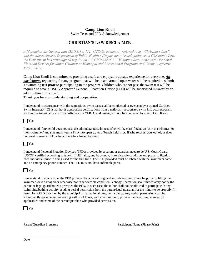#### **Camp Lion Knoll**  Swim Tests and PFD Acknowledgement

#### **-- CHRISTIAN'S LAW DISCLAIMER---**

*A Massachusetts General Law (M.G.L.) c. 111, §127A½, commonly referred to as "Christian's Law", and the Massachusetts Department of Public Health's (Department) issued guidance on Christian's Law, the Department has promulgated regulation 105 CMR 432.000: "Minimum Requirements for Personal Flotation Devices for Minor Children at Municipal and Recreational Programs and Camps", effective May 5, 2017.* 

Camp Lion Knoll is committed to providing a safe and enjoyable aquatic experience for everyone. *All participants* registering for any program that will be in and around open water will be required to submit a swimming test *prior* to participating in the program. Children who cannot pass the swim test will be required to wear a USCG Approved Personal Floatation Device (PFD) will be supervised in water by an adult within arm's reach.

Thank you for your understanding and cooperation.

I understand in accordance with the regulations, swim tests shall be conducted or overseen by a trained Certified Swim Instructor (CSI) that holds appropriate certifications from a nationally recognized swim instructor program, such as the American Red Cross (ARC) or the YMCA, and testing will not be conducted by Camp Lion Knoll.

| | Yes

I understand if my child does not pass the administered swim test, s/he will be classified as an 'at-risk swimmer' or 'non-swimmer' and s/he must wear a PFD into open water of beach field trips. If s/he refuses, opts out of, or does not want to wear a PFD, s/he will not be allowed to swim.

 $\Box$  Yes

I understand Personal Flotation Devices (PFDs) provided by a parent or guardian need to be U.S. Coast Guard (USCG) certified according to type (I, II, III), size, and buoyancy, in serviceable condition and properly fitted to each individual prior to being used for the first time. The PFD provided must be labeled with the swimmers name and an emergency phone number. The PFD must not have inflatable parts.

| | Yes

I understand if, at any time, the PFD provided by a parent or guardian is determined to not be properly fitting the swimmer, or is damaged or otherwise not in serviceable condition Peabody Recreation shall immediately notify the parent or legal guardian who provided the PFD. In such case, the minor shall not be allowed to participate in any swimming/bathing activity pending verbal permission from the parent/legal guardian for the minor to be properly fit tested for a PFD provided by the municipal or recreational program or camp. Any verbal permission shall be subsequently documented in writing within 24 hours, and, at a minimum, provide the date, time, number (if applicable) and name of the parent/guardian who provided permission.

\_\_\_\_\_\_\_\_\_\_\_\_\_\_\_\_\_\_\_\_\_\_\_\_\_\_\_\_\_\_\_\_\_\_\_ \_\_\_\_\_\_\_\_\_\_\_\_\_\_\_\_\_\_\_\_\_\_\_\_\_\_\_\_\_\_\_\_\_\_\_



\_\_\_\_\_\_\_\_\_\_\_\_\_\_\_\_\_\_\_\_\_\_\_\_\_\_\_\_\_\_\_\_\_\_\_

Parent/Guardian Signature Participant Name (Please Print)

Date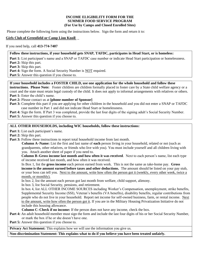#### **INCOME ELIGIBILITY FORM FOR THE SUMMER FOOD SERVICE PROGRAM (For Use by Camps and Closed Enrolled Sites)**

Please complete the following form using the instructions below. Sign the form and return it to:

#### **Girls Club of Greenfield or Camp Lion Knoll** \_

If you need help, call **413-774-7407**

#### **Follow these instructions, if your household gets SNAP, TAFDC, participates in Head Start, or is homeless:**

**Part 1:** List participant's name and a SNAP or TAFDC case number or indicate Head Start participation or homelessness. **Part 2:** Skip this part.

**Part 3:** Skip this part.

Part 4: Sign the form. A Social Security Number is **NOT** required.

Part 5: Answer this question if you choose to.

#### **If your household includes a FOSTER CHILD, use one application for the whole household and follow these**

**instructions. Please Note:** Foster children are children formally placed in foster care by a State child welfare agency or a court and the state must retain legal custody of the child. It does not apply to informal arrangements with relatives or others. **Part 1:** Enter the child's name.

**Part 2:** Please contact us at **[phone number of Sponsor]**

- Part 3: Complete this part if you are applying for other children in the household and you did not enter a SNAP or TAFDC case number in Part 1 and did not indicate Head Start or homelessness.
- **Part 4:** Sign the form. If Part 3 was completed, provide the last four digits of the signing adult's Social Security Number.

**Part 5:** Answer this question if you choose to.

#### **ALL OTHER HOUSEHOLDS, including WIC households, follow these instructions:**

- Part 1: List each participant's name.
- Part 2: Skip this part.
- Part 3: Follow these instructions to report total household income from last month.

**Column A–Name:** List the first and last name of **each** person living in your household, related or not (such as grandparents, other relatives, or friends who live with you). You must include yourself and all children living with you. Attach another sheet of paper if you need to.

**Column B–Gross income last month and how often it was received**. Next to each person's name, list each type of income received last month, and how often it was received.

In Box 1, list the **gross income** each person earned from work. This is not the same as take-home pay. **Gross income is the amount earned before taxes and other deductions.** The amount should be listed on your pay stub, or your boss can tell you. Next to the amount, write how often the person got it (weekly, every other week, twice a month, or monthly).

In box 2, list the amount each person got last month from welfare, child support, alimony.

In box 3, list Social Security, pensions, and retirement.

In box 4, list ALL OTHER INCOME SOURCES including Worker's Compensation, unemployment, strike benefits, Supplemental Security Income (SSI), Veteran's benefits (VA benefits), disability benefits, regular contributions from people who do not live in your household. Report net income for self-owned business, farm, or rental income. Next to the amount, write how often the person got it. If you are in the Military Housing Privatization Initiative do not include this housing allowance.

**Column C–Check if no income:** If the person does not have any income, check the box.

**Part 4:** An adult household member must sign the form and include the last four digits of his or her Social Security Number, or mark the box if he or she doesn't have one.

**Part 5:** Answer this question if you choose to.

**Privacy Act Statement:** This explains how we will use the information you give us.

**Non-discrimination Statement: This explains what to do if you believe you have been treated unfairly.**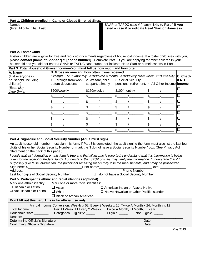| Part 1. Children enrolled in Camp or Closed Enrolled Sites. |                                                      |  |  |  |
|-------------------------------------------------------------|------------------------------------------------------|--|--|--|
| <b>Names</b>                                                | SNAP or TAFDC case # (if any). Skip to Part 4 if you |  |  |  |
| (First, Middle Initial, Last)                               | listed a case # or indicate Head Start or Homeless.  |  |  |  |
|                                                             |                                                      |  |  |  |
|                                                             |                                                      |  |  |  |
|                                                             |                                                      |  |  |  |
|                                                             |                                                      |  |  |  |
|                                                             |                                                      |  |  |  |
| <b>Deal O. Feeler Oblid</b>                                 |                                                      |  |  |  |

#### **Part 2. Foster Child**

.

Foster children are eligible for free and reduced-price meals regardless of household income. If a foster child lives with you, please **contact [name of Sponsor]** at **[phone number]**. Complete Part 3 if you are applying for other children in your household and you did not enter a SNAP or TAFDC case number or indicate Head Start or homelessness in Part 1.

| Part 3. Total Household Gross Income—You must tell us how much and how often |                                                                                |                  |                                                  |  |          |  |  |
|------------------------------------------------------------------------------|--------------------------------------------------------------------------------|------------------|--------------------------------------------------|--|----------|--|--|
| A. Name                                                                      | B. Gross income and how often it was received                                  |                  |                                                  |  |          |  |  |
| (List everyone in                                                            | Example: \$100/monthly \$100/twice a month \$100/every other week \$100/weekly |                  |                                                  |  | C. Check |  |  |
| household, including                                                         | 1. Earnings from work   2. Welfare, child                                      |                  | 3. Social Security,                              |  | lif NO   |  |  |
| children)                                                                    | before deductions                                                              | support, alimony | pensions, retirement, 4. All Other Income income |  |          |  |  |
| (Example)<br>Jane Smith                                                      | \$200/weekly                                                                   | \$150/weekly     | \$100/monthly                                    |  |          |  |  |
|                                                                              |                                                                                |                  | \$                                               |  |          |  |  |
|                                                                              |                                                                                |                  | \$                                               |  | □        |  |  |
|                                                                              |                                                                                |                  | \$                                               |  |          |  |  |
|                                                                              |                                                                                |                  | \$                                               |  |          |  |  |
|                                                                              |                                                                                |                  | \$                                               |  |          |  |  |
|                                                                              |                                                                                |                  | \$                                               |  |          |  |  |
|                                                                              |                                                                                |                  |                                                  |  |          |  |  |

#### **Part 4. Signature and Social Security Number (Adult must sign)**

An adult household member must sign this form. If Part 3 is completed, the adult signing the form must also list the last four digits of his or her Social Security Number or mark the "I do not have a Social Security Number" box. (See Privacy Act Statement on the back of this page.)

*I* certify that all information on this form is true and that all income is reported. I understand that this information is being *given for the receipt of Federal funds. I understand that SFSP officials may verify the information. I understand that if I purposely give false information, the participant receiving meals may lose the meal benefits, and I may be prosecuted.* Sign here: X\_\_\_\_\_\_\_\_\_\_\_\_\_\_\_\_\_\_\_\_\_\_\_\_\_\_\_\_\_\_Print name:\_\_\_\_\_\_\_\_\_\_\_\_\_\_\_\_\_\_\_\_\_\_\_\_\_\_\_\_\_Date: \_\_\_\_\_\_\_\_\_\_\_\_\_\_

| Phone Number:                                                                               |                                             |                                                                                                                                                                                                                                                                                                                                                                                                                                                                                                 |  |  |
|---------------------------------------------------------------------------------------------|---------------------------------------------|-------------------------------------------------------------------------------------------------------------------------------------------------------------------------------------------------------------------------------------------------------------------------------------------------------------------------------------------------------------------------------------------------------------------------------------------------------------------------------------------------|--|--|
|                                                                                             |                                             |                                                                                                                                                                                                                                                                                                                                                                                                                                                                                                 |  |  |
| Part 5. Participant's ethnic and racial identities (optional)                               |                                             |                                                                                                                                                                                                                                                                                                                                                                                                                                                                                                 |  |  |
| Mark one or more racial identities:                                                         |                                             |                                                                                                                                                                                                                                                                                                                                                                                                                                                                                                 |  |  |
| $\Box$ Asian                                                                                | American Indian or Alaska Native            |                                                                                                                                                                                                                                                                                                                                                                                                                                                                                                 |  |  |
| $\Box$ White                                                                                | □ Native Hawaiian or Other Pacific Islander |                                                                                                                                                                                                                                                                                                                                                                                                                                                                                                 |  |  |
|                                                                                             |                                             |                                                                                                                                                                                                                                                                                                                                                                                                                                                                                                 |  |  |
| Don't fill out this part. This is for official use only.                                    |                                             |                                                                                                                                                                                                                                                                                                                                                                                                                                                                                                 |  |  |
| Annual Income Conversion: Weekly x 52, Every 2 Weeks x 26, Twice A Month x 24, Monthly x 12 |                                             |                                                                                                                                                                                                                                                                                                                                                                                                                                                                                                 |  |  |
|                                                                                             |                                             |                                                                                                                                                                                                                                                                                                                                                                                                                                                                                                 |  |  |
|                                                                                             |                                             |                                                                                                                                                                                                                                                                                                                                                                                                                                                                                                 |  |  |
|                                                                                             |                                             |                                                                                                                                                                                                                                                                                                                                                                                                                                                                                                 |  |  |
|                                                                                             | Date:                                       |                                                                                                                                                                                                                                                                                                                                                                                                                                                                                                 |  |  |
| Confirming Official's Signature: _________________                                          | Date:                                       |                                                                                                                                                                                                                                                                                                                                                                                                                                                                                                 |  |  |
|                                                                                             |                                             | Last four digits of Social Security Number: __ _ _ _ _ _ _ _ _ d I do not have a Social Security Number<br>Black or African American<br>Household size: _____________Categorical Eligibility: ________________Eligible ______________Not Eligible _____<br>Determining Official's Signature: <b>Constantine and Constantine Constantine Constantine Constantine Constantine Constantine Constantine Constantine Constantine Constantine Constantine Constantine Constantine Constantine Con</b> |  |  |